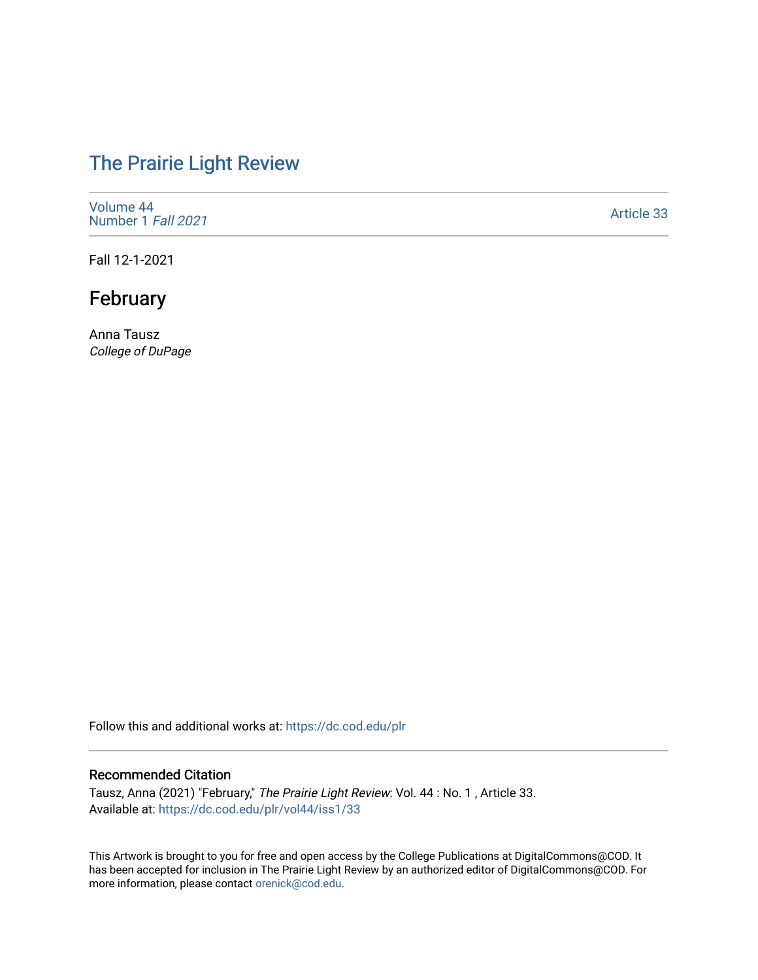# [The Prairie Light Review](https://dc.cod.edu/plr)

[Volume 44](https://dc.cod.edu/plr/vol44) [Number 1](https://dc.cod.edu/plr/vol44/iss1) Fall 2021

[Article 33](https://dc.cod.edu/plr/vol44/iss1/33) 

Fall 12-1-2021

## February

Anna Tausz College of DuPage

Follow this and additional works at: [https://dc.cod.edu/plr](https://dc.cod.edu/plr?utm_source=dc.cod.edu%2Fplr%2Fvol44%2Fiss1%2F33&utm_medium=PDF&utm_campaign=PDFCoverPages) 

#### Recommended Citation

Tausz, Anna (2021) "February," The Prairie Light Review: Vol. 44 : No. 1 , Article 33. Available at: [https://dc.cod.edu/plr/vol44/iss1/33](https://dc.cod.edu/plr/vol44/iss1/33?utm_source=dc.cod.edu%2Fplr%2Fvol44%2Fiss1%2F33&utm_medium=PDF&utm_campaign=PDFCoverPages)

This Artwork is brought to you for free and open access by the College Publications at DigitalCommons@COD. It has been accepted for inclusion in The Prairie Light Review by an authorized editor of DigitalCommons@COD. For more information, please contact [orenick@cod.edu.](mailto:orenick@cod.edu)